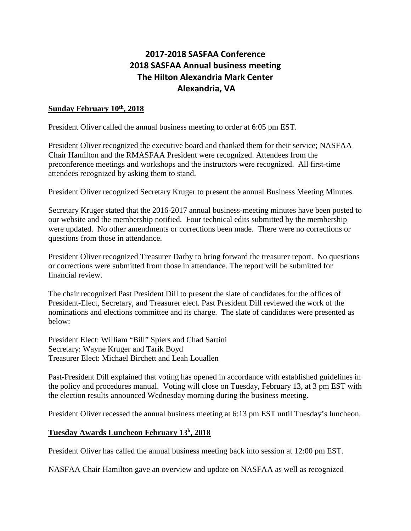## **2017-2018 SASFAA Conference 2018 SASFAA Annual business meeting The Hilton Alexandria Mark Center Alexandria, VA**

## **Sunday February 10th, 2018**

President Oliver called the annual business meeting to order at 6:05 pm EST.

President Oliver recognized the executive board and thanked them for their service; NASFAA Chair Hamilton and the RMASFAA President were recognized. Attendees from the preconference meetings and workshops and the instructors were recognized. All first-time attendees recognized by asking them to stand.

President Oliver recognized Secretary Kruger to present the annual Business Meeting Minutes.

Secretary Kruger stated that the 2016-2017 annual business-meeting minutes have been posted to our website and the membership notified. Four technical edits submitted by the membership were updated. No other amendments or corrections been made. There were no corrections or questions from those in attendance.

President Oliver recognized Treasurer Darby to bring forward the treasurer report. No questions or corrections were submitted from those in attendance. The report will be submitted for financial review.

The chair recognized Past President Dill to present the slate of candidates for the offices of President-Elect, Secretary, and Treasurer elect. Past President Dill reviewed the work of the nominations and elections committee and its charge. The slate of candidates were presented as below:

President Elect: William "Bill" Spiers and Chad Sartini Secretary: Wayne Kruger and Tarik Boyd Treasurer Elect: Michael Birchett and Leah Louallen

Past-President Dill explained that voting has opened in accordance with established guidelines in the policy and procedures manual. Voting will close on Tuesday, February 13, at 3 pm EST with the election results announced Wednesday morning during the business meeting.

President Oliver recessed the annual business meeting at 6:13 pm EST until Tuesday's luncheon.

## **Tuesday Awards Luncheon February 13h, 2018**

President Oliver has called the annual business meeting back into session at 12:00 pm EST.

NASFAA Chair Hamilton gave an overview and update on NASFAA as well as recognized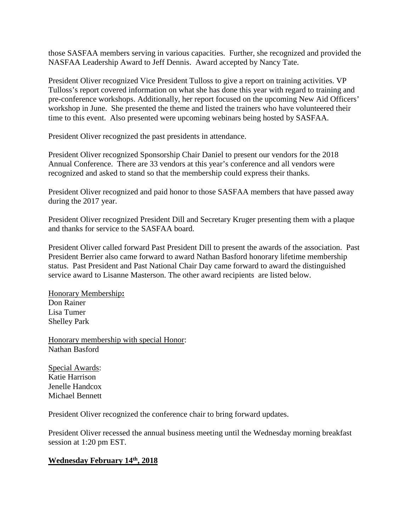those SASFAA members serving in various capacities. Further, she recognized and provided the NASFAA Leadership Award to Jeff Dennis. Award accepted by Nancy Tate.

President Oliver recognized Vice President Tulloss to give a report on training activities. VP Tulloss's report covered information on what she has done this year with regard to training and pre-conference workshops. Additionally, her report focused on the upcoming New Aid Officers' workshop in June. She presented the theme and listed the trainers who have volunteered their time to this event. Also presented were upcoming webinars being hosted by SASFAA.

President Oliver recognized the past presidents in attendance.

President Oliver recognized Sponsorship Chair Daniel to present our vendors for the 2018 Annual Conference. There are 33 vendors at this year's conference and all vendors were recognized and asked to stand so that the membership could express their thanks.

President Oliver recognized and paid honor to those SASFAA members that have passed away during the 2017 year.

President Oliver recognized President Dill and Secretary Kruger presenting them with a plaque and thanks for service to the SASFAA board.

President Oliver called forward Past President Dill to present the awards of the association. Past President Berrier also came forward to award Nathan Basford honorary lifetime membership status. Past President and Past National Chair Day came forward to award the distinguished service award to Lisanne Masterson. The other award recipients are listed below.

Honorary Membership**:** Don Rainer Lisa Tumer Shelley Park

Honorary membership with special Honor: Nathan Basford

Special Awards: Katie Harrison Jenelle Handcox Michael Bennett

President Oliver recognized the conference chair to bring forward updates.

President Oliver recessed the annual business meeting until the Wednesday morning breakfast session at 1:20 pm EST.

## **Wednesday February 14th, 2018**